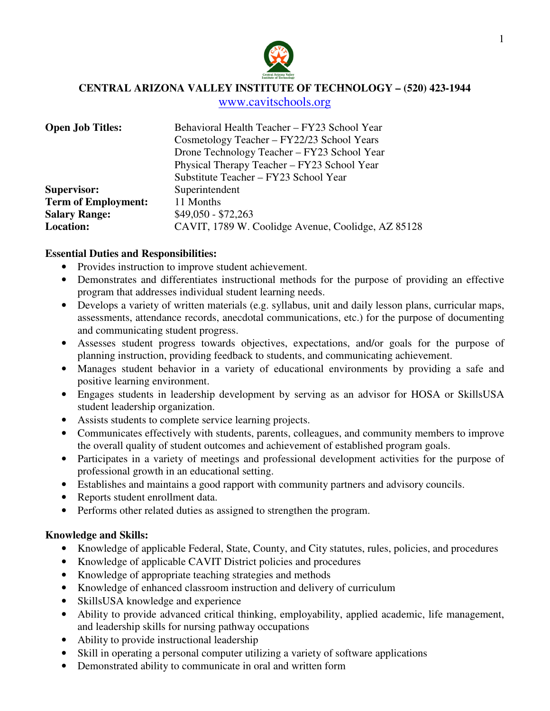

**CENTRAL ARIZONA VALLEY INSTITUTE OF TECHNOLOGY – (520) 423-1944** 

www.cavitschools.org

| <b>Open Job Titles:</b>    | Behavioral Health Teacher - FY23 School Year       |
|----------------------------|----------------------------------------------------|
|                            | Cosmetology Teacher – FY22/23 School Years         |
|                            | Drone Technology Teacher – FY23 School Year        |
|                            | Physical Therapy Teacher - FY23 School Year        |
|                            | Substitute Teacher - FY23 School Year              |
| <b>Supervisor:</b>         | Superintendent                                     |
| <b>Term of Employment:</b> | 11 Months                                          |
| <b>Salary Range:</b>       | $$49,050 - $72,263$                                |
| <b>Location:</b>           | CAVIT, 1789 W. Coolidge Avenue, Coolidge, AZ 85128 |

## **Essential Duties and Responsibilities:**

- Provides instruction to improve student achievement.
- Demonstrates and differentiates instructional methods for the purpose of providing an effective program that addresses individual student learning needs.
- Develops a variety of written materials (e.g. syllabus, unit and daily lesson plans, curricular maps, assessments, attendance records, anecdotal communications, etc.) for the purpose of documenting and communicating student progress.
- Assesses student progress towards objectives, expectations, and/or goals for the purpose of planning instruction, providing feedback to students, and communicating achievement.
- Manages student behavior in a variety of educational environments by providing a safe and positive learning environment.
- Engages students in leadership development by serving as an advisor for HOSA or SkillsUSA student leadership organization.
- Assists students to complete service learning projects.
- Communicates effectively with students, parents, colleagues, and community members to improve the overall quality of student outcomes and achievement of established program goals.
- Participates in a variety of meetings and professional development activities for the purpose of professional growth in an educational setting.
- Establishes and maintains a good rapport with community partners and advisory councils.
- Reports student enrollment data.
- Performs other related duties as assigned to strengthen the program.

# **Knowledge and Skills:**

- Knowledge of applicable Federal, State, County, and City statutes, rules, policies, and procedures
- Knowledge of applicable CAVIT District policies and procedures
- Knowledge of appropriate teaching strategies and methods
- Knowledge of enhanced classroom instruction and delivery of curriculum
- SkillsUSA knowledge and experience
- Ability to provide advanced critical thinking, employability, applied academic, life management, and leadership skills for nursing pathway occupations
- Ability to provide instructional leadership
- Skill in operating a personal computer utilizing a variety of software applications
- Demonstrated ability to communicate in oral and written form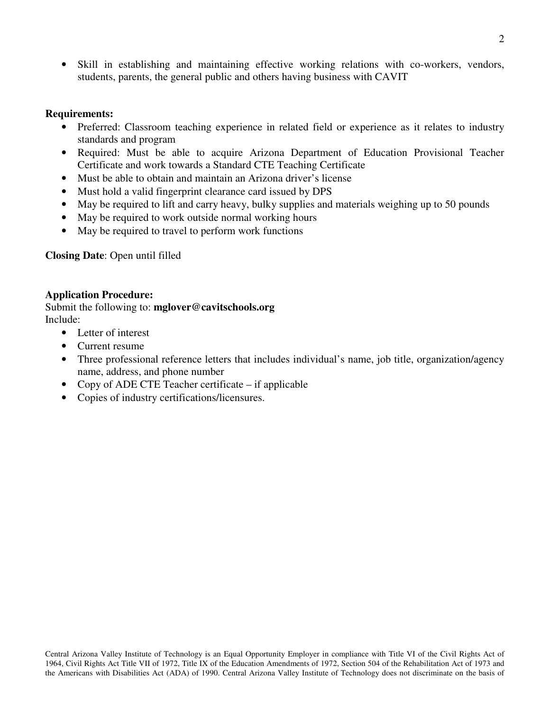• Skill in establishing and maintaining effective working relations with co-workers, vendors, students, parents, the general public and others having business with CAVIT

## **Requirements:**

- Preferred: Classroom teaching experience in related field or experience as it relates to industry standards and program
- Required: Must be able to acquire Arizona Department of Education Provisional Teacher Certificate and work towards a Standard CTE Teaching Certificate
- Must be able to obtain and maintain an Arizona driver's license
- Must hold a valid fingerprint clearance card issued by DPS
- May be required to lift and carry heavy, bulky supplies and materials weighing up to 50 pounds
- May be required to work outside normal working hours
- May be required to travel to perform work functions

# **Closing Date**: Open until filled

## **Application Procedure:**

Submit the following to: **mglover@cavitschools.org**  Include:

- Letter of interest
- Current resume
- Three professional reference letters that includes individual's name, job title, organization/agency name, address, and phone number
- Copy of ADE CTE Teacher certificate if applicable
- Copies of industry certifications/licensures.